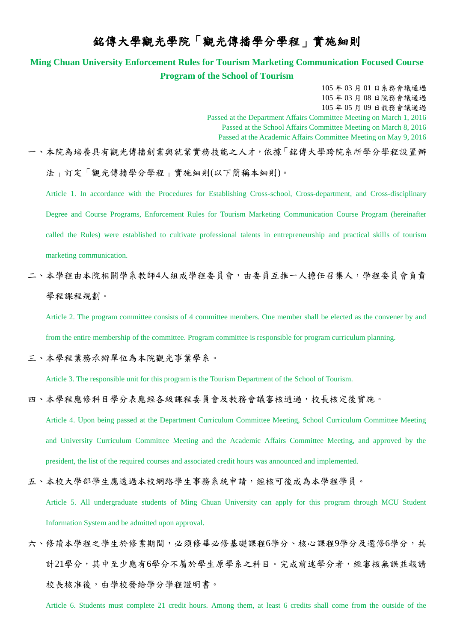# 銘傳大學觀光學院「觀光傳播學分學程」實施細則

### **Ming Chuan University Enforcement Rules for Tourism Marketing Communication Focused Course Program of the School of Tourism**

105 年 03 月 01 日系務會議通過 105 年 03 月 08 日院務會議通過 105 年 05 月 09 日教務會議通過 Passed at the Department Affairs Committee Meeting on March 1, 2016 Passed at the School Affairs Committee Meeting on March 8, 2016 Passed at the Academic Affairs Committee Meeting on May 9, 2016

一、本院為培養具有觀光傳播創業與就業實務技能之人才,依據「銘傳大學跨院系所學分學程設置辦 法」訂定「觀光傳播學分學程」實施細則(以下簡稱本細則)。

Article 1. In accordance with the Procedures for Establishing Cross-school, Cross-department, and Cross-disciplinary Degree and Course Programs, Enforcement Rules for Tourism Marketing Communication Course Program (hereinafter called the Rules) were established to cultivate professional talents in entrepreneurship and practical skills of tourism marketing communication.

二、本學程由本院相關學系教師4人組成學程委員會,由委員互推一人擔任召集人,學程委員會負責 學程課程規劃。

Article 2. The program committee consists of 4 committee members. One member shall be elected as the convener by and from the entire membership of the committee. Program committee is responsible for program curriculum planning.

#### 三、本學程業務承辦單位為本院觀光事業學系。

Article 3. The responsible unit for this program is the Tourism Department of the School of Tourism.

#### 四、本學程應修科目學分表應經各級課程委員會及教務會議審核通過,校長核定後實施。

Article 4. Upon being passed at the Department Curriculum Committee Meeting, School Curriculum Committee Meeting and University Curriculum Committee Meeting and the Academic Affairs Committee Meeting, and approved by the president, the list of the required courses and associated credit hours was announced and implemented.

## 五、本校大學部學生應透過本校網路學生事務系統申請,經核可後成為本學程學員。

Article 5. All undergraduate students of Ming Chuan University can apply for this program through MCU Student Information System and be admitted upon approval.

六、修讀本學程之學生於修業期間,必須修畢必修基礎課程6學分、核心課程9學分及選修6學分,共 計21學分,其中至少應有6學分不屬於學生原學系之科目。完成前述學分者,經審核無誤並報請 校長核准後,由學校發給學分學程證明書。

Article 6. Students must complete 21 credit hours. Among them, at least 6 credits shall come from the outside of the